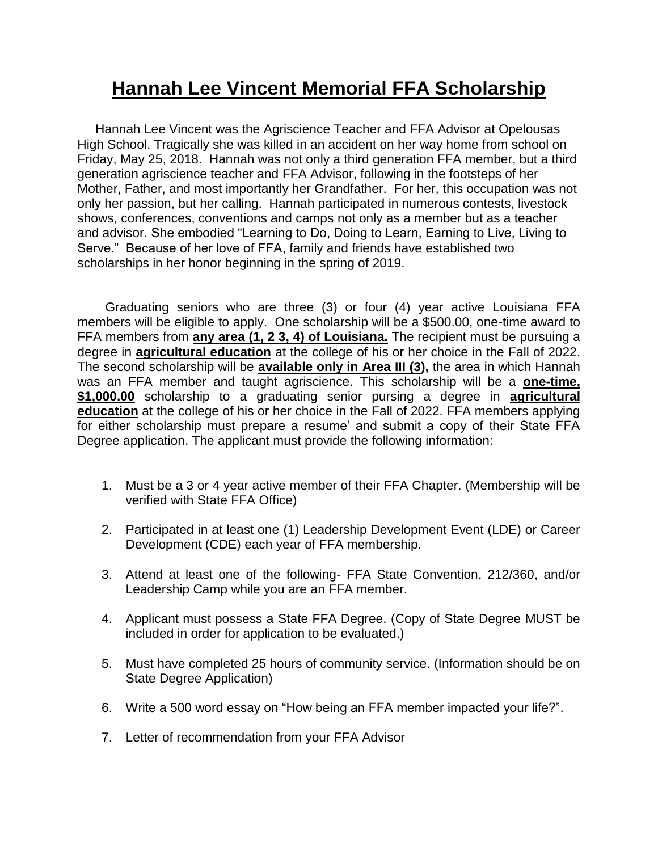## **Hannah Lee Vincent Memorial FFA Scholarship**

 Hannah Lee Vincent was the Agriscience Teacher and FFA Advisor at Opelousas High School. Tragically she was killed in an accident on her way home from school on Friday, May 25, 2018. Hannah was not only a third generation FFA member, but a third generation agriscience teacher and FFA Advisor, following in the footsteps of her Mother, Father, and most importantly her Grandfather. For her, this occupation was not only her passion, but her calling. Hannah participated in numerous contests, livestock shows, conferences, conventions and camps not only as a member but as a teacher and advisor. She embodied "Learning to Do, Doing to Learn, Earning to Live, Living to Serve." Because of her love of FFA, family and friends have established two scholarships in her honor beginning in the spring of 2019.

Graduating seniors who are three (3) or four (4) year active Louisiana FFA members will be eligible to apply. One scholarship will be a \$500.00, one-time award to FFA members from **any area (1, 2 3, 4) of Louisiana.** The recipient must be pursuing a degree in **agricultural education** at the college of his or her choice in the Fall of 2022. The second scholarship will be **available only in Area III (3),** the area in which Hannah was an FFA member and taught agriscience. This scholarship will be a **one-time, \$1,000.00** scholarship to a graduating senior pursing a degree in **agricultural education** at the college of his or her choice in the Fall of 2022. FFA members applying for either scholarship must prepare a resume' and submit a copy of their State FFA Degree application. The applicant must provide the following information:

- 1. Must be a 3 or 4 year active member of their FFA Chapter. (Membership will be verified with State FFA Office)
- 2. Participated in at least one (1) Leadership Development Event (LDE) or Career Development (CDE) each year of FFA membership.
- 3. Attend at least one of the following- FFA State Convention, 212/360, and/or Leadership Camp while you are an FFA member.
- 4. Applicant must possess a State FFA Degree. (Copy of State Degree MUST be included in order for application to be evaluated.)
- 5. Must have completed 25 hours of community service. (Information should be on State Degree Application)
- 6. Write a 500 word essay on "How being an FFA member impacted your life?".
- 7. Letter of recommendation from your FFA Advisor